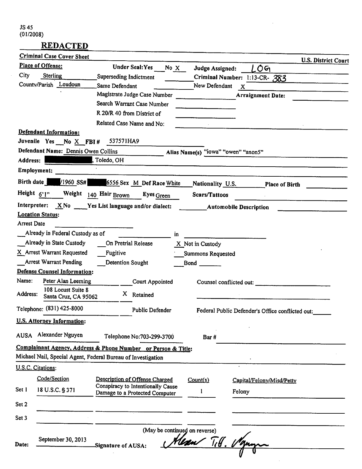# **REDACTED**

|                | <b>Criminal Case Cover Sheet</b>                              |                           |                                   |      |                                     |                                                  | <b>U.S. District Court</b> |
|----------------|---------------------------------------------------------------|---------------------------|-----------------------------------|------|-------------------------------------|--------------------------------------------------|----------------------------|
|                | Place of Offense:                                             |                           | <b>Under Seal: Yes</b>            | No X | Judge Assigned:                     | LOG                                              |                            |
| City           | Sterling                                                      | Superseding Indictment    |                                   |      |                                     | Criminal Number: 1:13-CR- 383                    |                            |
|                | County/Parish Loudoun                                         | Same Defendant            |                                   |      | New Defendant                       | $\boldsymbol{\mathsf{x}}$                        |                            |
|                |                                                               |                           | Magistrate Judge Case Number      |      |                                     | <b>Arraignment Date:</b>                         |                            |
|                |                                                               |                           | Search Warrant Case Number        |      |                                     |                                                  |                            |
|                |                                                               |                           | R 20/R 40 from District of        |      |                                     |                                                  |                            |
|                |                                                               |                           | Related Case Name and No:         |      |                                     |                                                  |                            |
|                | Defendant Information:                                        |                           |                                   |      |                                     |                                                  |                            |
|                | Juvenile Yes No X FBI#                                        | 537571HA9                 |                                   |      |                                     |                                                  |                            |
|                | Defendant Name: Dennis Owen Collins                           |                           |                                   |      | Alias Name(s) "iowa" "owen" "anon5" |                                                  |                            |
| Address:       |                                                               | , Toledo, OH              |                                   |      |                                     |                                                  |                            |
|                | Employment:                                                   |                           |                                   |      |                                     |                                                  |                            |
| Birth date     | /1960 SS#                                                     | 6556 Sex M Def Race White |                                   |      | Nationality U.S.                    | <b>Place of Birth</b>                            |                            |
| Height $6'1''$ |                                                               | Weight 140 Hair Brown     | Eyes Green                        |      | Scars/Tattoos                       |                                                  |                            |
|                | Interpreter: $X\ N$ o $Y$ es List language and/or dialect:    |                           |                                   |      |                                     | <b>Automobile Description</b>                    |                            |
|                | <b>Location Status:</b>                                       |                           |                                   |      |                                     |                                                  |                            |
| Arrest Date    |                                                               |                           |                                   |      |                                     |                                                  |                            |
|                | Already in Federal Custody as of                              |                           |                                   | in.  |                                     |                                                  |                            |
|                | Already in State Custody                                      |                           | On Pretrial Release               |      | X Not in Custody                    |                                                  |                            |
|                | X Arrest Warrant Requested                                    | Fugitive                  |                                   |      | Summons Requested                   |                                                  |                            |
|                | Arrest Warrant Pending                                        | Detention Sought          |                                   |      | $Bond \_$                           |                                                  |                            |
|                | Defense Counsel Information:                                  |                           |                                   |      |                                     |                                                  |                            |
| Name:          | Peter Alan Leeming                                            |                           | Court Appointed                   |      |                                     | Counsel conflicted out:                          |                            |
| Address:       | 108 Locust Suite 8<br>Santa Cruz, CA 95062                    | X.                        | Retained                          |      |                                     |                                                  |                            |
|                |                                                               |                           |                                   |      |                                     |                                                  |                            |
|                | Telephone: (831) 425-8000                                     |                           | Public Defender                   |      |                                     | Federal Public Defender's Office conflicted out: |                            |
|                | U.S. Attorney Information:                                    |                           |                                   |      |                                     |                                                  |                            |
| <b>AUSA</b>    | Alexander Nguyen                                              |                           | Telephone No:703-299-3700         |      | Bar#                                |                                                  |                            |
|                | Complainant Agency, Address & Phone Number or Person & Title: |                           |                                   |      |                                     |                                                  |                            |
|                | Michael Nail, Special Agent, Federal Bureau of Investigation  |                           |                                   |      |                                     |                                                  |                            |
|                | U.S.C. Citations:                                             |                           |                                   |      |                                     |                                                  |                            |
|                | Code/Section                                                  |                           | Description of Offense Charged    |      | Count(s)                            | Capital/Felony/Misd/Petty                        |                            |
| Set 1          | 18 U.S.C. § 371                                               |                           | Conspiracy to Intentionally Cause |      | 1                                   |                                                  |                            |
|                |                                                               |                           | Damage to a Protected Computer    |      |                                     | Felony                                           |                            |
| Set 2          |                                                               |                           |                                   |      |                                     |                                                  |                            |
| Set 3          |                                                               |                           |                                   |      |                                     |                                                  |                            |
|                |                                                               |                           |                                   |      | (May be continued on reverse)       |                                                  |                            |
|                | September 30, 2013                                            |                           |                                   |      |                                     |                                                  |                            |
| Date:          |                                                               | Signature of AUSA:        |                                   |      | Hear Titt. Man                      |                                                  |                            |
|                |                                                               |                           |                                   |      |                                     |                                                  |                            |

 $\mathcal{L}_{\text{max}}$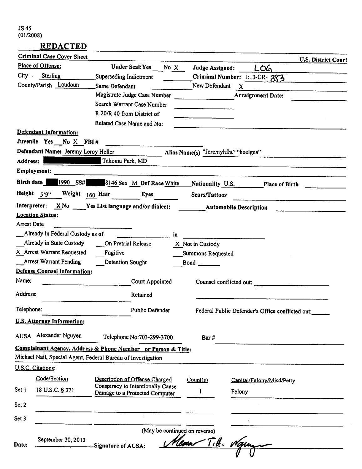# **REDACTED**

|                    | <b>Criminal Case Cover Sheet</b>                              |                                                                     |                                                                                                                                                                                                                                      |                                                  | <b>U.S. District Court</b> |
|--------------------|---------------------------------------------------------------|---------------------------------------------------------------------|--------------------------------------------------------------------------------------------------------------------------------------------------------------------------------------------------------------------------------------|--------------------------------------------------|----------------------------|
|                    | Place of Offense:                                             | Under Seal: Yes<br>No X                                             | Judge Assigned:                                                                                                                                                                                                                      | LOG                                              |                            |
| $City =$           | Sterling                                                      | Superseding Indictment                                              |                                                                                                                                                                                                                                      | Criminal Number: 1:13-CR-383                     |                            |
|                    | County/Parish Loudoun                                         | Same Defendant                                                      | New Defendant                                                                                                                                                                                                                        | $\mathbf{x}$                                     |                            |
|                    |                                                               | Magistrate Judge Case Number                                        |                                                                                                                                                                                                                                      | <b>Arraignment Date:</b>                         |                            |
|                    |                                                               | Search Warrant Case Number                                          | <u> Albanya di Kabupatén Bandar Barat,  Pada Barat,  Pada Barat,  Pada Barat,  Pada Barat,  Pada Barat,  Pada Barat,  Pada Barat,  Pada Barat,  Pada Barat,  Pada Barat,  Pada Barat,  Pada Barat,  Pada Barat,  Pada Barat,  Pa</u> |                                                  |                            |
|                    |                                                               | R 20/R 40 from District of                                          |                                                                                                                                                                                                                                      |                                                  |                            |
|                    |                                                               | Related Case Name and No:                                           |                                                                                                                                                                                                                                      |                                                  |                            |
|                    | Defendant Information:<br>Juvenile Yes No X FBI #             |                                                                     |                                                                                                                                                                                                                                      |                                                  |                            |
|                    | Defendant Name: Jeremy Leroy Heller                           |                                                                     | Alias Name(s) "Jeremyhfht" "heelgea"                                                                                                                                                                                                 |                                                  |                            |
| Address:           |                                                               | Takoma Park, MD                                                     |                                                                                                                                                                                                                                      |                                                  |                            |
|                    | Employment:                                                   |                                                                     |                                                                                                                                                                                                                                      |                                                  |                            |
|                    | Birth date 1990 SS#                                           | 8146 Sex M Def Race White                                           | Nationality U.S.                                                                                                                                                                                                                     | Place of Birth                                   |                            |
|                    | Height 5'9"<br>Weight $160$ Hair                              | Eyes                                                                | Scars/Tattoos                                                                                                                                                                                                                        |                                                  |                            |
|                    |                                                               | Interpreter: X No Yes List language and/or dialect:                 | <b>Automobile Description</b>                                                                                                                                                                                                        |                                                  |                            |
|                    | <b>Location Status:</b>                                       |                                                                     |                                                                                                                                                                                                                                      |                                                  |                            |
| <b>Arrest Date</b> |                                                               |                                                                     |                                                                                                                                                                                                                                      |                                                  |                            |
|                    | Already in Federal Custody as of                              | in.                                                                 |                                                                                                                                                                                                                                      |                                                  |                            |
|                    | Already in State Custody                                      | On Pretrial Release                                                 | X Not in Custody                                                                                                                                                                                                                     |                                                  |                            |
|                    | X Arrest Warrant Requested                                    | Fugitive                                                            | Summons Requested                                                                                                                                                                                                                    |                                                  |                            |
|                    | Arrest Warrant Pending<br><b>Defense Counsel Information:</b> | Detention Sought                                                    | $Bond \_$                                                                                                                                                                                                                            |                                                  |                            |
| Name:              |                                                               |                                                                     |                                                                                                                                                                                                                                      |                                                  |                            |
|                    |                                                               | Court Appointed                                                     | Counsel conflicted out:                                                                                                                                                                                                              |                                                  |                            |
| Address:           |                                                               | Retained                                                            |                                                                                                                                                                                                                                      |                                                  |                            |
| Telephone:         |                                                               | <b>Public Defender</b>                                              |                                                                                                                                                                                                                                      | Federal Public Defender's Office conflicted out: |                            |
|                    | <b>U.S. Attorney Information:</b>                             |                                                                     |                                                                                                                                                                                                                                      |                                                  |                            |
| AUSA               | Alexander Nguyen                                              | Telephone No:703-299-3700                                           | Bar#                                                                                                                                                                                                                                 |                                                  |                            |
|                    |                                                               | Complainant Agency, Address & Phone Number or Person & Title:       |                                                                                                                                                                                                                                      |                                                  |                            |
|                    |                                                               | Michael Nail, Special Agent, Federal Bureau of Investigation        |                                                                                                                                                                                                                                      |                                                  |                            |
|                    | U.S.C. Citations:                                             |                                                                     |                                                                                                                                                                                                                                      |                                                  |                            |
|                    | Code/Section                                                  | Description of Offense Charged                                      | Count(s)                                                                                                                                                                                                                             | Capital/Felony/Misd/Petty                        |                            |
| Set 1              | 18 U.S.C. § 371                                               | Conspiracy to Intentionally Cause<br>Damage to a Protected Computer |                                                                                                                                                                                                                                      | Felony                                           |                            |
|                    |                                                               |                                                                     |                                                                                                                                                                                                                                      |                                                  |                            |
| Set 2              |                                                               |                                                                     |                                                                                                                                                                                                                                      |                                                  |                            |
| Set 3              |                                                               |                                                                     |                                                                                                                                                                                                                                      |                                                  |                            |
|                    |                                                               | (May be continued on reverse)                                       |                                                                                                                                                                                                                                      |                                                  |                            |
| Date:              | September 30, 2013                                            |                                                                     |                                                                                                                                                                                                                                      | Tith. Man                                        |                            |
|                    |                                                               | Signature of AUSA:                                                  |                                                                                                                                                                                                                                      |                                                  |                            |
|                    |                                                               |                                                                     |                                                                                                                                                                                                                                      |                                                  |                            |

 $\mathbb{R}^2$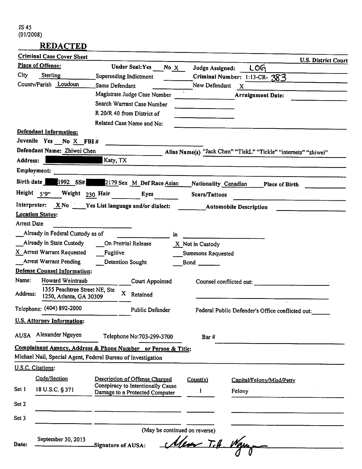|             | <b>Criminal Case Cover Sheet</b>                              |                |                                   |      |                               |                                                  | <b>U.S. District Court</b>                                      |
|-------------|---------------------------------------------------------------|----------------|-----------------------------------|------|-------------------------------|--------------------------------------------------|-----------------------------------------------------------------|
|             | Place of Offense:                                             |                | <b>Under Seal: Yes</b>            | No X | Judge Assigned:               | <b>LOG</b>                                       |                                                                 |
| City        | Sterling                                                      |                | Superseding Indictment            |      |                               | Criminal Number: 1:13-CR-383                     |                                                                 |
|             | County/Parish Loudoun                                         | Same Defendant |                                   |      | New Defendant                 | $\mathbf{x}$                                     |                                                                 |
|             |                                                               |                | Magistrate Judge Case Number      |      |                               | <b>Arraignment Date:</b>                         |                                                                 |
|             |                                                               |                | Search Warrant Case Number        |      |                               |                                                  |                                                                 |
|             |                                                               |                | R 20/R 40 from District of        |      |                               |                                                  |                                                                 |
|             |                                                               |                | Related Case Name and No:         |      |                               |                                                  |                                                                 |
|             | Defendant Information:                                        |                |                                   |      |                               |                                                  |                                                                 |
|             | Juvenile Yes No X FBI#                                        |                |                                   |      |                               |                                                  |                                                                 |
|             | Defendant Name: Zhiwei Chen                                   |                |                                   |      |                               |                                                  | Alias Name(s) "Jack Chen" "TickL" "Tickle" "internets" "zhiwei" |
| Address:    |                                                               | Katy, TX       |                                   |      |                               |                                                  |                                                                 |
|             | Employment:                                                   |                |                                   |      |                               |                                                  |                                                                 |
| Birth date  | 1992 SS#                                                      |                | 2179 Sex M Def Race Asian         |      | Nationality Canadian          |                                                  | <b>Place of Birth</b>                                           |
| Height 5'9" | Weight 230 Hair                                               |                | Eyes                              |      | Scars/Tattoos                 |                                                  |                                                                 |
|             | Interpreter: X No Yes List language and/or dialect:           |                |                                   |      |                               | <b>Automobile Description</b>                    |                                                                 |
| Arrest Date | <b>Location Status:</b>                                       |                |                                   |      |                               |                                                  |                                                                 |
|             | Already in Federal Custody as of                              |                |                                   | in.  |                               |                                                  |                                                                 |
|             | Already in State Custody                                      |                | On Pretrial Release               |      | X Not in Custody              |                                                  |                                                                 |
|             | X Arrest Warrant Requested                                    | Fugitive       |                                   |      | <b>Summons Requested</b>      |                                                  |                                                                 |
|             | <b>Arrest Warrant Pending</b>                                 |                | Detention Sought                  |      | $Bond \_$                     |                                                  |                                                                 |
|             | Defense Counsel Information:                                  |                |                                   |      |                               |                                                  |                                                                 |
| Name:       | Howard Weintraub                                              |                | Court Appointed                   |      |                               | Counsel conflicted out:                          |                                                                 |
| Address:    | 1355 Peachtree Street NE, Ste<br>1250, Atlanta, GA 30309      |                | X Retained                        |      |                               |                                                  |                                                                 |
|             | Telephone: (404) 892-2000                                     |                | <b>Public Defender</b>            |      |                               | Federal Public Defender's Office conflicted out: |                                                                 |
|             | <b>U.S. Attorney Information:</b>                             |                |                                   |      |                               |                                                  |                                                                 |
| <b>AUSA</b> | Alexander Nguyen                                              |                | Telephone No:703-299-3700         |      | Bar#                          |                                                  |                                                                 |
|             | Complainant Agency, Address & Phone Number or Person & Title: |                |                                   |      |                               |                                                  |                                                                 |
|             | Michael Nail, Special Agent, Federal Bureau of Investigation  |                |                                   |      |                               |                                                  |                                                                 |
|             | U.S.C. Citations:                                             |                |                                   |      |                               |                                                  |                                                                 |
|             | Code/Section                                                  |                | Description of Offense Charged    |      | Count(s)                      | Capital/Felony/Misd/Petty                        |                                                                 |
| Set 1       | 18 U.S.C. § 371                                               |                | Conspiracy to Intentionally Cause |      |                               |                                                  |                                                                 |
|             |                                                               |                | Damage to a Protected Computer    |      | 1                             | Felony                                           |                                                                 |
| Set 2       |                                                               |                |                                   |      |                               |                                                  |                                                                 |
| Set 3       |                                                               |                |                                   |      |                               |                                                  |                                                                 |
|             |                                                               |                |                                   |      | (May be continued on reverse) |                                                  |                                                                 |
|             | September 30, 2013                                            |                |                                   |      |                               |                                                  |                                                                 |
| Date:       |                                                               |                | Signature of AUSA:                |      | Alex Tit. Wayne               |                                                  |                                                                 |
|             |                                                               |                |                                   |      |                               |                                                  |                                                                 |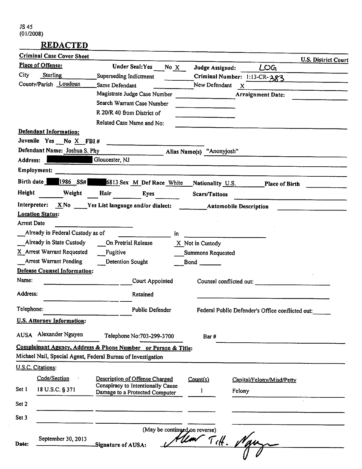$\sim$ 

|                    | <b>Criminal Case Cover Sheet</b>                                |                                   |                               |                           |                                                  | <b>U.S. District Court</b> |
|--------------------|-----------------------------------------------------------------|-----------------------------------|-------------------------------|---------------------------|--------------------------------------------------|----------------------------|
|                    | Place of Offense:                                               | <b>Under Seal: Yes</b>            | No X                          | Judge Assigned:           | LOG                                              |                            |
| City               | Sterling                                                        | Superseding Indictment            |                               |                           | Criminal Number: 1:13-CR-383                     |                            |
|                    | County/Parish Loudoun                                           | Same Defendant                    |                               | New Defendant             | $\mathbf{X}$                                     |                            |
|                    |                                                                 | Magistrate Judge Case Number      |                               |                           | Arraignment Date:                                |                            |
|                    |                                                                 | Search Warrant Case Number        |                               |                           |                                                  |                            |
|                    |                                                                 | R 20/R 40 from District of        |                               |                           |                                                  |                            |
|                    |                                                                 | Related Case Name and No:         |                               |                           |                                                  |                            |
|                    | <b>Defendant Information:</b>                                   |                                   |                               |                           |                                                  |                            |
|                    | Juvenile Yes $No X FBI #$                                       |                                   |                               |                           |                                                  |                            |
|                    | Defendant Name: Joshua S. Phy                                   |                                   |                               | Alias Name(s) "Anonyjosh" |                                                  |                            |
| Address:           |                                                                 | Gloucester, NJ                    |                               |                           |                                                  |                            |
|                    | Employment:                                                     |                                   |                               |                           |                                                  |                            |
| Birth date         | $ 1986 \t S5# $                                                 | 6813 Sex M Def Race White         |                               | Nationality U.S.          |                                                  | Place of Birth             |
| Height             | Weight                                                          | Hair                              | <b>Eyes</b>                   | <b>Scars/Tattoos</b>      |                                                  |                            |
|                    | Interpreter: $X \& No \quad Y$ es List language and/or dialect: |                                   |                               | Automobile Description    |                                                  |                            |
|                    | <b>Location Status:</b>                                         |                                   |                               |                           |                                                  |                            |
| <b>Arrest Date</b> |                                                                 |                                   |                               |                           |                                                  |                            |
|                    | Already in Federal Custody as of                                |                                   | in.                           |                           |                                                  |                            |
|                    | Already in State Custody                                        | On Pretrial Release               |                               | X Not in Custody          |                                                  |                            |
|                    | X Arrest Warrant Requested                                      | Fugitive                          |                               | Summons Requested         |                                                  |                            |
|                    | <b>Arrest Warrant Pending</b>                                   | Detention Sought                  |                               | $Bond \_$                 |                                                  |                            |
|                    | <b>Defense Counsel Information:</b>                             |                                   |                               |                           |                                                  |                            |
| Name:              |                                                                 |                                   | Court Appointed               |                           | Counsel conflicted out:                          |                            |
| Address:           |                                                                 |                                   | Retained                      |                           |                                                  |                            |
| Telephone:         |                                                                 |                                   | <b>Public Defender</b>        |                           | Federal Public Defender's Office conflicted out: |                            |
|                    | <b>U.S. Attorney Information:</b>                               |                                   |                               |                           |                                                  |                            |
| <b>AUSA</b>        | Alexander Nguyen                                                |                                   | Telephone No:703-299-3700     | Bar#                      |                                                  |                            |
|                    | Complainant Agency, Address & Phone Number or Person & Title:   |                                   |                               |                           |                                                  |                            |
|                    | Michael Nail, Special Agent, Federal Bureau of Investigation    |                                   |                               |                           |                                                  |                            |
|                    | U.S.C. Citations:                                               |                                   |                               |                           |                                                  |                            |
|                    | Code/Section                                                    | Description of Offense Charged    |                               | Count(s)                  | Capital/Felony/Misd/Petty                        |                            |
| Set 1              | 18 U.S.C. § 371                                                 | Conspiracy to Intentionally Cause |                               |                           |                                                  |                            |
|                    |                                                                 | Damage to a Protected Computer    |                               |                           | Felony                                           |                            |
| Set 2              |                                                                 |                                   |                               |                           |                                                  |                            |
| Set 3              |                                                                 |                                   |                               |                           |                                                  |                            |
|                    |                                                                 |                                   | (May be continued on reverse) |                           |                                                  |                            |
|                    | September 30, 2013                                              |                                   |                               | Hear Titt. V              |                                                  |                            |
| Date:              |                                                                 | Signature of AUSA:                |                               |                           |                                                  |                            |
|                    |                                                                 |                                   |                               |                           |                                                  |                            |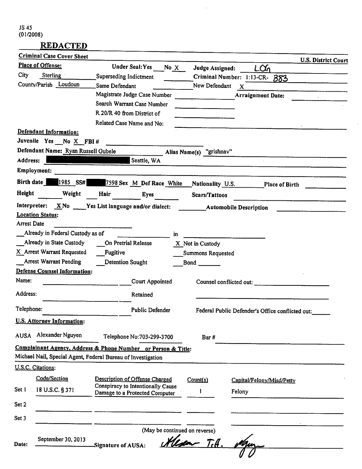### **REDACTED**

|                    | <b>Criminal Case Cover Sheet</b>                               |                                                                     |        |                               |                                                  | U.S. District Court |
|--------------------|----------------------------------------------------------------|---------------------------------------------------------------------|--------|-------------------------------|--------------------------------------------------|---------------------|
|                    | Place of Offense:                                              | Under Seal: Yes                                                     | No $X$ | Judge Assigned:               | LŒ                                               |                     |
| City               | Sterling                                                       | Superseding Indictment                                              |        |                               | Criminal Number: 1:13-CR- 383                    |                     |
|                    | County/Parish Loudoun                                          | Same Defendant                                                      |        | New Defendant                 | $\boldsymbol{\mathsf{X}}$                        |                     |
|                    |                                                                | Magistrate Judge Case Number                                        |        |                               | <b>Arraignment Date:</b>                         |                     |
|                    |                                                                | Search Warrant Case Number                                          |        |                               |                                                  |                     |
|                    |                                                                | R 20/R 40 from District of                                          |        |                               |                                                  |                     |
|                    |                                                                | Related Case Name and No:                                           |        |                               |                                                  |                     |
|                    | Defendant Information:                                         |                                                                     |        |                               |                                                  |                     |
|                    | Juvenile Yes No X FBI #<br>Defendant Name: Ryan Russell Gubele |                                                                     |        |                               |                                                  |                     |
| Address:           |                                                                | Seattle, WA                                                         |        | Alias Name(s) "grishnav"      |                                                  |                     |
|                    | Employment:                                                    |                                                                     |        |                               |                                                  |                     |
| Birth date         | 1985 SS#                                                       | 7598 Sex M Def Race White                                           |        | Nationality U.S.              |                                                  | Place of Birth      |
| Height             | Weight                                                         | Hair<br>Eyes                                                        |        | Scars/Tattoos                 |                                                  |                     |
|                    |                                                                | Interpreter: $X \N$ o Yes List language and/or dialect:             |        |                               | <b>Automobile Description</b>                    |                     |
|                    | <b>Location Status:</b>                                        |                                                                     |        |                               |                                                  |                     |
| <b>Arrest Date</b> |                                                                |                                                                     |        |                               |                                                  |                     |
|                    | Already in Federal Custody as of                               |                                                                     | in     |                               |                                                  |                     |
|                    | Already in State Custody                                       | On Pretrial Release                                                 |        | X Not in Custody              |                                                  |                     |
|                    | X Arrest Warrant Requested                                     | Fugitive                                                            |        | Summons Requested             |                                                  |                     |
|                    | <b>Arrest Warrant Pending</b>                                  | Detention Sought                                                    |        | $Bond \_$                     |                                                  |                     |
|                    | <b>Defense Counsel Information:</b>                            |                                                                     |        |                               |                                                  |                     |
| Name:              |                                                                | Court Appointed                                                     |        |                               | Counsel conflicted out:                          |                     |
| Address:           |                                                                | Retained                                                            |        |                               |                                                  |                     |
| Telephone:         |                                                                | Public Defender                                                     |        |                               | Federal Public Defender's Office conflicted out: |                     |
|                    | <b>U.S. Attorney Information:</b>                              |                                                                     |        |                               |                                                  |                     |
| <b>AUSA</b>        | Alexander Nguyen                                               | Telephone No:703-299-3700                                           |        | Bar#                          |                                                  |                     |
|                    |                                                                | Complainant Agency, Address & Phone Number or Person & Title:       |        |                               |                                                  |                     |
|                    |                                                                | Michael Nail, Special Agent, Federal Bureau of Investigation        |        |                               |                                                  |                     |
|                    | U.S.C. Citations:                                              |                                                                     |        |                               |                                                  |                     |
|                    | Code/Section                                                   | Description of Offense Charged                                      |        | Count(s)                      | Capital/Felony/Misd/Petty                        |                     |
| Set 1              | 18 U.S.C. § 371                                                | Conspiracy to Intentionally Cause<br>Damage to a Protected Computer |        |                               | Felony                                           |                     |
| Set 2              |                                                                |                                                                     |        |                               |                                                  |                     |
| Set 3              |                                                                |                                                                     |        |                               |                                                  |                     |
|                    |                                                                |                                                                     |        | (May be continued on reverse) |                                                  |                     |
|                    | September 30, 2013                                             |                                                                     |        | Herm Till.                    |                                                  |                     |
| Date:              |                                                                | Signature of AUSA:                                                  |        |                               |                                                  |                     |
|                    |                                                                |                                                                     |        |                               |                                                  |                     |

 $\mathcal{L}^{\mathcal{L}}$ 

 $\hat{\mathcal{A}}$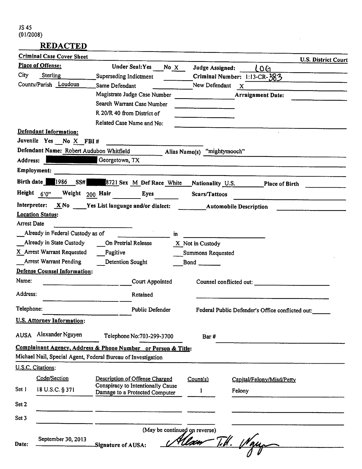### *REDACTED*

|             | <b>Criminal Case Cover Sheet</b>         |                                                               |      |                               |                                                  | <b>U.S. District Court</b> |
|-------------|------------------------------------------|---------------------------------------------------------------|------|-------------------------------|--------------------------------------------------|----------------------------|
|             | Place of Offense:                        | <b>Under Seal: Yes</b>                                        | No X | Judge Assigned:               | LOG                                              |                            |
| City        | Sterling                                 | Superseding Indictment                                        |      |                               | Criminal Number: 1:13-CR-383                     |                            |
|             | County/Parish Loudoun                    | Same Defendant                                                |      | New Defendant                 | $\mathbf{x}$                                     |                            |
|             |                                          | Magistrate Judge Case Number                                  |      |                               | <b>Arraignment Date:</b>                         |                            |
|             |                                          | Search Warrant Case Number                                    |      |                               |                                                  |                            |
|             |                                          | R 20/R 40 from District of                                    |      |                               |                                                  |                            |
|             |                                          | Related Case Name and No:                                     |      |                               |                                                  |                            |
|             | Defendant Information:                   |                                                               |      |                               |                                                  |                            |
|             | Juvenile Yes No X FBI #                  |                                                               |      |                               |                                                  |                            |
|             | Defendant Name: Robert Audubon Whitfield |                                                               |      | Alias Name(s) "mightymooch"   |                                                  |                            |
| Address:    |                                          | Georgetown, TX                                                |      |                               |                                                  |                            |
|             | Employment:                              |                                                               |      |                               |                                                  |                            |
| Birth date  | 1986<br>SS#                              | 8721 Sex M Def Race White                                     |      | Nationality U.S.              | <b>Place of Birth</b>                            |                            |
|             | Height $6'0''$<br>Weight 200 Hair        | <b>Eyes</b>                                                   |      | Scars/Tattoos                 |                                                  |                            |
|             |                                          | Interpreter: $X \wedge$ Yes List language and/or dialect:     |      |                               | <b>Automobile Description</b>                    |                            |
|             | <b>Location Status:</b>                  |                                                               |      |                               |                                                  |                            |
| Arrest Date |                                          |                                                               |      |                               |                                                  |                            |
|             | Already in Federal Custody as of         |                                                               | in.  |                               |                                                  |                            |
|             | Already in State Custody                 | On Pretrial Release                                           |      | X Not in Custody              |                                                  |                            |
|             | X Arrest Warrant Requested               | Fugitive                                                      |      | Summons Requested             |                                                  |                            |
|             | <b>Arrest Warrant Pending</b>            | Detention Sought                                              |      | $Bond \_$                     |                                                  |                            |
|             | <b>Defense Counsel Information:</b>      |                                                               |      |                               |                                                  |                            |
| Name:       |                                          | Court Appointed                                               |      |                               | Counsel conflicted out:                          |                            |
| Address:    |                                          | Retained                                                      |      |                               |                                                  |                            |
| Telephone:  |                                          | <b>Public Defender</b>                                        |      |                               | Federal Public Defender's Office conflicted out: |                            |
|             | U.S. Attorney Information:               |                                                               |      |                               |                                                  |                            |
| <b>AUSA</b> | Alexander Nguyen                         | Telephone No:703-299-3700                                     |      | Bar#                          |                                                  |                            |
|             |                                          | Complainant Agency, Address & Phone Number or Person & Title: |      |                               |                                                  |                            |
|             |                                          | Michael Nail, Special Agent, Federal Bureau of Investigation  |      |                               |                                                  |                            |
|             | U.S.C. Citations:                        |                                                               |      |                               |                                                  |                            |
|             | Code/Section                             | Description of Offense Charged                                |      | Count(s)                      | Capital/Felony/Misd/Petty                        |                            |
| Set 1       |                                          | Conspiracy to Intentionally Cause                             |      |                               |                                                  |                            |
|             | 18 U.S.C. § 371                          | Damage to a Protected Computer                                |      | 1                             | Felony                                           |                            |
| Set 2       |                                          |                                                               |      |                               |                                                  |                            |
| Set 3       |                                          |                                                               |      |                               |                                                  |                            |
|             |                                          |                                                               |      | (May be continued on reverse) |                                                  |                            |
|             | September 30, 2013                       |                                                               |      | <u> Ulxov</u>                 | $\mathcal{U}$                                    |                            |
| Date:       |                                          | Signature of AUSA:                                            |      |                               |                                                  |                            |
|             |                                          |                                                               |      |                               |                                                  |                            |

 $\mathbf{r}$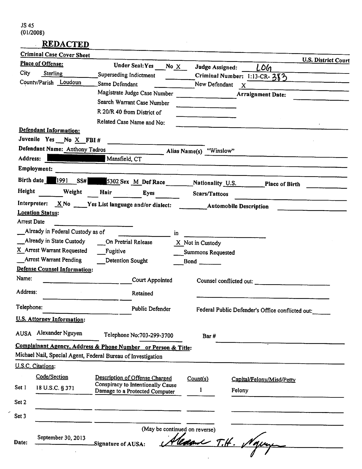$\boldsymbol{\varphi}$ 

#### **REDACTED**  $\frac{1}{2}$

|                    | <b>Criminal Case Cover Sheet</b>    |                                                                     |      |                               |                                                  |                            |
|--------------------|-------------------------------------|---------------------------------------------------------------------|------|-------------------------------|--------------------------------------------------|----------------------------|
|                    | Place of Offense:                   | Under Seal: Yes                                                     | No X | Judge Assigned:               | LOG                                              | <b>U.S. District Court</b> |
| City               | Sterling                            | Superseding Indictment                                              |      |                               | Criminal Number: 1:13-CR-383                     |                            |
|                    | County/Parish Loudoun               | Same Defendant                                                      |      | New Defendant                 | X                                                |                            |
|                    |                                     | Magistrate Judge Case Number                                        |      |                               | <b>Arraignment Date:</b>                         |                            |
|                    |                                     | Search Warrant Case Number                                          |      |                               |                                                  |                            |
|                    |                                     | R 20/R 40 from District of                                          |      |                               |                                                  |                            |
|                    |                                     | Related Case Name and No:                                           |      |                               |                                                  |                            |
|                    | Defendant Information:              |                                                                     |      |                               |                                                  |                            |
|                    | Juvenile Yes No X FBI #             |                                                                     |      |                               |                                                  |                            |
|                    | Defendant Name: Anthony Tadros      |                                                                     |      | Alias Name(s) "Winslow"       |                                                  |                            |
| Address:           |                                     | Mansfield, CT                                                       |      |                               |                                                  |                            |
|                    | Employment:                         |                                                                     |      |                               |                                                  |                            |
| Birth date $\vert$ | 1991<br>SS#                         | 5302 Sex M_Def Race _____________Nationality U.S.                   |      |                               |                                                  | Place of Birth             |
| Height             | Weight                              | Hair<br>Eyes                                                        |      | Scars/Tattoos                 |                                                  |                            |
|                    |                                     | Interpreter: $X \& No \quad Y$ es List language and/or dialect:     |      |                               | <b>Example 2 Automobile Description</b>          |                            |
|                    | <b>Location Status:</b>             |                                                                     |      |                               |                                                  |                            |
| Arrest Date        |                                     |                                                                     |      |                               |                                                  |                            |
|                    | Already in Federal Custody as of    |                                                                     | in.  |                               |                                                  |                            |
|                    | Already in State Custody            | On Pretrial Release                                                 |      | X Not in Custody              |                                                  |                            |
|                    | X Arrest Warrant Requested          | Fugitive                                                            |      | Summons Requested             |                                                  |                            |
|                    | <b>Arrest Warrant Pending</b>       | <b>Detention Sought</b>                                             |      |                               |                                                  |                            |
| Name:              | <b>Defense Counsel Information:</b> |                                                                     |      |                               |                                                  |                            |
|                    |                                     | Court Appointed                                                     |      |                               | Counsel conflicted out:                          |                            |
| Address:           |                                     | Retained                                                            |      |                               |                                                  |                            |
| Telephone:         |                                     | Public Defender                                                     |      |                               | Federal Public Defender's Office conflicted out: |                            |
|                    | U.S. Attorney Information:          |                                                                     |      |                               |                                                  |                            |
| <b>AUSA</b>        | Alexander Nguyen                    | Telephone No:703-299-3700                                           |      | Bar#                          |                                                  |                            |
|                    |                                     | Complainant Agency, Address & Phone Number or Person & Title:       |      |                               |                                                  |                            |
|                    |                                     | Michael Nail, Special Agent, Federal Bureau of Investigation        |      |                               |                                                  |                            |
|                    | U.S.C. Citations:                   |                                                                     |      |                               |                                                  |                            |
|                    | Code/Section                        |                                                                     |      |                               |                                                  |                            |
|                    |                                     | Description of Offense Charged<br>Conspiracy to Intentionally Cause |      | Count(s)                      | Capital/Felony/Misd/Petty                        |                            |
| Set 1              | 18 U.S.C. § 371                     | Damage to a Protected Computer                                      |      | 1                             | Felony                                           |                            |
| Set 2              |                                     |                                                                     |      |                               |                                                  |                            |
| Set 3              |                                     |                                                                     |      |                               |                                                  |                            |
|                    |                                     |                                                                     |      | (May be continued on reverse) |                                                  |                            |
|                    | September 30, 2013                  |                                                                     |      |                               |                                                  |                            |
| Date:              |                                     | Signature of AUSA:                                                  |      | lecan T.H. Ng                 |                                                  |                            |
|                    |                                     |                                                                     |      |                               |                                                  |                            |

 $\sim$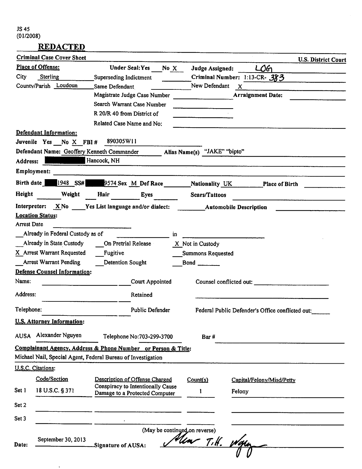**REDACTED** 

 $\ddot{\phantom{a}}$ 

|             | <b>Criminal Case Cover Sheet</b>                                                                                                                                    |                                                                                                                      |                                        | <b>U.S. District Court</b>                       |
|-------------|---------------------------------------------------------------------------------------------------------------------------------------------------------------------|----------------------------------------------------------------------------------------------------------------------|----------------------------------------|--------------------------------------------------|
|             | Place of Offense:                                                                                                                                                   | <b>Under Seal: Yes</b>                                                                                               | No X<br>Judge Assigned:                | $L$ 06                                           |
| City        | Sterling                                                                                                                                                            | Superseding Indictment                                                                                               |                                        | Criminal Number: 1:13-CR- 383                    |
|             | County/Parish Loudoun                                                                                                                                               | Same Defendant                                                                                                       | New Defendant                          | $\mathbf{x}$                                     |
|             |                                                                                                                                                                     | Magistrate Judge Case Number                                                                                         | <u> 1990 - John Barn Barn, mars a</u>  | <b>Arraignment Date:</b>                         |
|             |                                                                                                                                                                     | Search Warrant Case Number                                                                                           |                                        |                                                  |
|             |                                                                                                                                                                     | R 20/R 40 from District of                                                                                           | <u>and a</u> state of the state of the |                                                  |
|             |                                                                                                                                                                     | Related Case Name and No:                                                                                            |                                        |                                                  |
|             | Defendant Information:                                                                                                                                              |                                                                                                                      |                                        |                                                  |
|             | Juvenile Yes No X FBI# 890305W11                                                                                                                                    |                                                                                                                      |                                        |                                                  |
|             | Defendant Name: Geoffery Kenneth Commander<br><u> Tanzania de San Francia de San Francia de San Francia de San Francia de San Francia de San Francia de San Fra</u> |                                                                                                                      | Alias Name(s) "JAKE" "bipto"           |                                                  |
| Address:    |                                                                                                                                                                     | Hancock, NH                                                                                                          |                                        |                                                  |
|             | <b>Employment:</b>                                                                                                                                                  | <u> 1980 - Jan Stein Stein Stein Stein Stein Stein Stein Stein Stein Stein Stein Stein Stein Stein Stein Stein S</u> |                                        |                                                  |
|             |                                                                                                                                                                     | Birth date 1948 SS# 9574 Sex M Def Race Nationality UK                                                               |                                        | <b>Place of Birth</b>                            |
| Height      | Weight                                                                                                                                                              | Hair Eyes                                                                                                            | Scars/Tattoos                          |                                                  |
|             |                                                                                                                                                                     | Interpreter: X No Yes List language and/or dialect: Automobile Description                                           |                                        |                                                  |
|             | <b>Location Status:</b>                                                                                                                                             |                                                                                                                      |                                        |                                                  |
| Arrest Date |                                                                                                                                                                     |                                                                                                                      |                                        |                                                  |
|             | Already in Federal Custody as of                                                                                                                                    |                                                                                                                      | in.                                    |                                                  |
|             |                                                                                                                                                                     | Already in State Custody On Pretrial Release                                                                         | X Not in Custody                       |                                                  |
|             | X Arrest Warrant Requested                                                                                                                                          | Fugitive                                                                                                             | Summons Requested                      |                                                  |
|             | <b>Arrest Warrant Pending</b>                                                                                                                                       | Detention Sought                                                                                                     |                                        |                                                  |
|             | <b>Defense Counsel Information:</b>                                                                                                                                 |                                                                                                                      |                                        |                                                  |
| Name:       |                                                                                                                                                                     | Court Appointed                                                                                                      |                                        | Counsel conflicted out:                          |
| Address:    |                                                                                                                                                                     | Retained                                                                                                             |                                        |                                                  |
| Telephone:  |                                                                                                                                                                     | Public Defender                                                                                                      |                                        | Federal Public Defender's Office conflicted out: |
|             | <b>U.S. Attorney Information:</b>                                                                                                                                   |                                                                                                                      |                                        |                                                  |
| <b>AUSA</b> | Alexander Nguyen                                                                                                                                                    | Telephone No:703-299-3700                                                                                            | Bar#                                   |                                                  |
|             |                                                                                                                                                                     | Complainant Agency, Address & Phone Number or Person & Title:                                                        |                                        |                                                  |
|             |                                                                                                                                                                     | Michael Nail, Special Agent, Federal Bureau of Investigation                                                         |                                        |                                                  |
|             | U.S.C. Citations:                                                                                                                                                   |                                                                                                                      |                                        |                                                  |
|             | Code/Section                                                                                                                                                        | Description of Offense Charged                                                                                       | Count(s)                               | Capital/Felony/Misd/Petty                        |
| Set 1       | 18 U.S.C. § 371                                                                                                                                                     | Conspiracy to Intentionally Cause                                                                                    | ł                                      | Felony                                           |
|             |                                                                                                                                                                     | Damage to a Protected Computer                                                                                       |                                        |                                                  |
| Set 2       |                                                                                                                                                                     |                                                                                                                      |                                        |                                                  |
| Set 3       |                                                                                                                                                                     |                                                                                                                      |                                        |                                                  |
|             |                                                                                                                                                                     |                                                                                                                      | (May be continued on reverse)          |                                                  |
|             | September 30, 2013                                                                                                                                                  |                                                                                                                      | Ular T.H. V                            |                                                  |
| Date:       |                                                                                                                                                                     | Signature of AUSA:                                                                                                   |                                        |                                                  |
|             |                                                                                                                                                                     |                                                                                                                      |                                        |                                                  |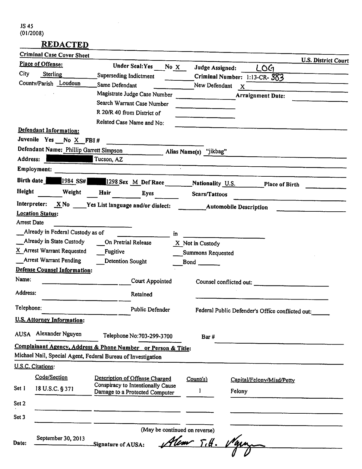|                    | Criminal Case Cover Sheet           |                                                                |                               |              |                                                  | <b>U.S. District Court</b> |
|--------------------|-------------------------------------|----------------------------------------------------------------|-------------------------------|--------------|--------------------------------------------------|----------------------------|
|                    | Place of Offense:                   | Under Seal: Yes                                                | No $X$<br>Judge Assigned:     |              | LOG                                              |                            |
| City               | Sterling                            | Superseding Indictment                                         |                               |              | Criminal Number: 1:13-CR-383                     |                            |
|                    | County/Parish Loudoun               | Same Defendant                                                 | New Defendant                 | $\mathbf{X}$ |                                                  |                            |
|                    |                                     | Magistrate Judge Case Number                                   |                               |              | <b>Arraignment Date:</b>                         |                            |
|                    |                                     | Search Warrant Case Number                                     |                               |              |                                                  |                            |
|                    |                                     | R 20/R 40 from District of                                     |                               |              |                                                  |                            |
|                    |                                     | Related Case Name and No:                                      |                               |              |                                                  |                            |
|                    | Defendant Information:              |                                                                |                               |              |                                                  |                            |
|                    | Juvenile Yes No X FBI#              |                                                                |                               |              |                                                  |                            |
|                    |                                     | Defendant Name: Phillip Garrett Simpson Alias Name(s) "jikbag" |                               |              |                                                  |                            |
| Address:           |                                     | Tucson, AZ                                                     |                               |              |                                                  |                            |
|                    | Employment:                         |                                                                |                               |              |                                                  |                            |
| Birth date         | 1984 SS#                            | 1298 Sex M_Def Race ____________Nationality U.S.               |                               |              | <b>Place of Birth</b>                            |                            |
| Height             | Weight                              | Hair<br>Eyes                                                   | Scars/Tattoos                 |              |                                                  |                            |
|                    |                                     | Interpreter: $X$ No $Y$ es List language and/or dialect:       | <b>Automobile Description</b> |              |                                                  |                            |
|                    | <b>Location Status:</b>             |                                                                |                               |              |                                                  |                            |
| <b>Arrest Date</b> |                                     |                                                                |                               |              |                                                  |                            |
|                    | Already in Federal Custody as of    |                                                                | in                            |              |                                                  |                            |
|                    | Already in State Custody            | On Pretrial Release                                            | X Not in Custody              |              |                                                  |                            |
|                    | X Arrest Warrant Requested          | Fugitive                                                       | Summons Requested             |              |                                                  |                            |
|                    | Arrest Warrant Pending              | Detention Sought                                               | <b>Bond</b>                   |              |                                                  |                            |
|                    | <b>Defense Counsel Information:</b> |                                                                |                               |              |                                                  |                            |
| Name:              |                                     | Court Appointed                                                |                               |              | Counsel conflicted out:                          |                            |
| Address:           |                                     | Retained                                                       |                               |              |                                                  |                            |
| Telephone:         |                                     | Public Defender                                                |                               |              | Federal Public Defender's Office conflicted out: |                            |
|                    | <b>U.S. Attorney Information:</b>   |                                                                |                               |              |                                                  |                            |
| <b>AUSA</b>        | Alexander Nguyen                    | Telephone No:703-299-3700                                      | Bar#                          |              |                                                  |                            |
|                    |                                     | Complainant Agency, Address & Phone Number or Person & Title:  |                               |              |                                                  |                            |
|                    |                                     | Michael Nail, Special Agent, Federal Bureau of Investigation   |                               |              |                                                  |                            |
|                    | U.S.C. Citations:                   |                                                                |                               |              |                                                  |                            |
|                    | Code/Section                        | Description of Offense Charged                                 | Count(s)                      |              | Capital/Felony/Misd/Petty                        |                            |
| Set 1              | 18 U.S.C. § 371                     | Conspiracy to Intentionally Cause                              |                               |              |                                                  |                            |
|                    |                                     | Damage to a Protected Computer                                 |                               | Felony       |                                                  |                            |
| Set 2              |                                     |                                                                |                               |              |                                                  |                            |
| Set 3              |                                     |                                                                |                               |              |                                                  |                            |
|                    |                                     |                                                                | (May be continued on reverse) |              |                                                  |                            |
|                    | September 30, 2013                  |                                                                |                               |              |                                                  |                            |
| Date:              |                                     | Signature of AUSA:                                             | $T_t$ .                       |              |                                                  |                            |
|                    |                                     |                                                                |                               |              |                                                  |                            |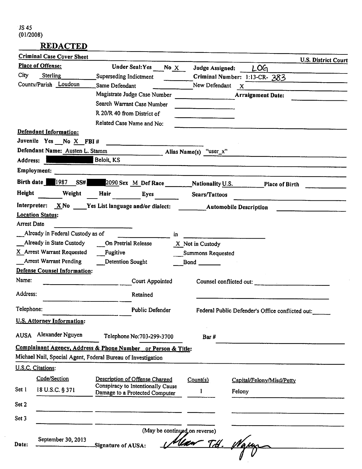$\bar{\beta}$ 

# *REDACTED*

|             | <b>Criminal Case Cover Sheet</b>    |                                                                                |      |                               |                                                  | <b>U.S. District Court</b> |
|-------------|-------------------------------------|--------------------------------------------------------------------------------|------|-------------------------------|--------------------------------------------------|----------------------------|
|             | Place of Offense:                   | Under Seal: Yes                                                                | No X | Judge Assigned:               | LOG                                              |                            |
| City        | Sterling                            | Superseding Indictment                                                         |      |                               | Criminal Number: 1:13-CR- 383                    |                            |
|             | County/Parish Loudoun               | Same Defendant                                                                 |      | New Defendant                 | $\mathbf{x}$                                     |                            |
|             |                                     | Magistrate Judge Case Number                                                   |      |                               | <b>Arraignment Date:</b>                         |                            |
|             |                                     | Search Warrant Case Number                                                     |      |                               |                                                  |                            |
|             |                                     | R 20/R 40 from District of                                                     |      |                               |                                                  |                            |
|             |                                     | Related Case Name and No:                                                      |      |                               |                                                  |                            |
|             | Defendant Information:              |                                                                                |      |                               |                                                  |                            |
|             | Juvenile Yes No X FBI#              | $\overline{\phantom{a}}$ . The contract of $\overline{\phantom{a}}$            |      |                               |                                                  |                            |
|             | Defendant Name: Austen L. Stamm     | $\frac{1}{2}$                                                                  |      | Alias Name(s) "user_x"        |                                                  |                            |
| Address:    |                                     | Beloit, KS                                                                     |      |                               |                                                  |                            |
|             | Employment:                         |                                                                                |      |                               |                                                  |                            |
| Birth date  | 1987<br>SS#                         | 2090 Sex M_Def Race Mationality U.S.                                           |      |                               | Place of Birth                                   |                            |
| Height      | Weight                              | Hair<br>Eyes                                                                   |      | Scars/Tattoos                 |                                                  |                            |
|             |                                     | Interpreter: $\overline{X}$ No $\overline{Y}$ es List language and/or dialect: |      | <b>Automobile Description</b> |                                                  |                            |
|             | <b>Location Status:</b>             |                                                                                |      |                               |                                                  |                            |
| Arrest Date |                                     |                                                                                |      |                               |                                                  |                            |
|             | Already in Federal Custody as of    |                                                                                | in   |                               |                                                  |                            |
|             | Already in State Custody            | On Pretrial Release                                                            |      | X Not in Custody              |                                                  |                            |
|             | X Arrest Warrant Requested          | Fugitive                                                                       |      | Summons Requested             |                                                  |                            |
|             | <b>Arrest Warrant Pending</b>       | Detention Sought                                                               |      | Bond ________                 |                                                  |                            |
|             | <b>Defense Counsel Information:</b> |                                                                                |      |                               |                                                  |                            |
| Name:       |                                     | Court Appointed                                                                |      |                               | Counsel conflicted out:                          |                            |
| Address:    |                                     | Retained                                                                       |      |                               |                                                  |                            |
| Telephone:  |                                     | Public Defender                                                                |      |                               | Federal Public Defender's Office conflicted out: |                            |
|             | <b>U.S. Attorney Information:</b>   |                                                                                |      |                               |                                                  |                            |
| <b>AUSA</b> | Alexander Nguyen                    | Telephone No:703-299-3700                                                      |      | Bar#                          |                                                  |                            |
|             |                                     | Complainant Agency, Address & Phone Number or Person & Title:                  |      |                               |                                                  |                            |
|             |                                     | Michael Nail, Special Agent, Federal Bureau of Investigation                   |      |                               |                                                  |                            |
|             | U.S.C. Citations:                   |                                                                                |      |                               |                                                  |                            |
|             | Code/Section                        | Description of Offense Charged                                                 |      | Count(s)                      |                                                  |                            |
| Set 1       |                                     | Conspiracy to Intentionally Cause                                              |      |                               | Capital/Felony/Misd/Petty                        |                            |
|             | 18 U.S.C. § 371                     | Damage to a Protected Computer                                                 |      |                               | Felony                                           |                            |
| Set 2       |                                     |                                                                                |      |                               |                                                  |                            |
| Set 3       |                                     |                                                                                |      |                               |                                                  |                            |
|             |                                     |                                                                                |      | (May be continued on reverse) |                                                  |                            |
|             | September 30, 2013                  |                                                                                |      |                               |                                                  |                            |
| Date:       |                                     | Signature of AUSA:                                                             |      | <u>Tdf</u>                    |                                                  |                            |
|             |                                     |                                                                                |      |                               |                                                  |                            |

l,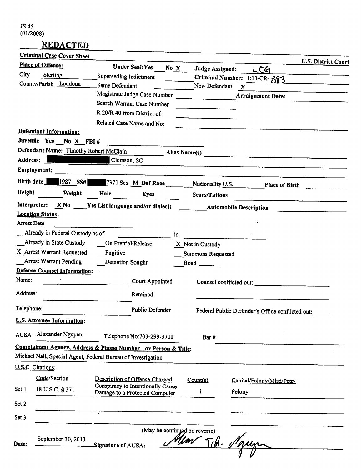|             | <b>Criminal Case Cover Sheet</b>       |                                                               |                                                           |                                                  |
|-------------|----------------------------------------|---------------------------------------------------------------|-----------------------------------------------------------|--------------------------------------------------|
|             | Place of Offense:                      | <b>Under Seal: Yes</b><br>No X                                | Judge Assigned:                                           | U.S. District Court<br>L0G                       |
| City        | Sterling                               | Superseding Indictment                                        |                                                           | Criminal Number: 1:13-CR-383                     |
|             | County/Parish Loudoun                  | Same Defendant                                                | New Defendant                                             | $\mathbf{x}$                                     |
|             |                                        | Magistrate Judge Case Number                                  | $\mathbf{r}$ and $\mathbf{r}$ are the set of $\mathbf{r}$ | <b>Arraignment Date:</b>                         |
|             |                                        | Search Warrant Case Number                                    |                                                           |                                                  |
|             |                                        | R 20/R 40 from District of                                    |                                                           |                                                  |
|             |                                        | Related Case Name and No:                                     |                                                           |                                                  |
|             | Defendant Information:                 |                                                               |                                                           |                                                  |
|             | Juvenile Yes No X FBI#                 |                                                               |                                                           |                                                  |
|             | Defendant Name: Timothy Robert McClain | <b>Alias Name(s)</b>                                          |                                                           |                                                  |
| Address:    |                                        | Clemson, SC                                                   |                                                           |                                                  |
|             | Employment:                            |                                                               |                                                           |                                                  |
| Birth date  | 1987 SS#                               | 7371 Sex M_Def Race __________Nationality U.S.                |                                                           | <b>Place of Birth</b>                            |
| Height      | Weight                                 | Hair<br>Eyes                                                  | Scars/Tattoos                                             |                                                  |
|             |                                        |                                                               |                                                           |                                                  |
|             | <b>Location Status:</b>                |                                                               |                                                           |                                                  |
| Arrest Date |                                        |                                                               |                                                           |                                                  |
|             | Already in Federal Custody as of       | in                                                            |                                                           |                                                  |
|             | Already in State Custody               | On Pretrial Release                                           | X Not in Custody                                          |                                                  |
|             | X Arrest Warrant Requested             | Fugitive                                                      | <b>Summons Requested</b>                                  |                                                  |
|             | Arrest Warrant Pending                 | <b>Detention Sought</b>                                       | <b>Bond</b>                                               |                                                  |
| Name:       | <b>Defense Counsel Information:</b>    |                                                               |                                                           |                                                  |
|             |                                        | Court Appointed                                               | Counsel conflicted out:                                   |                                                  |
| Address:    |                                        | Retained                                                      |                                                           |                                                  |
| Telephone:  |                                        | <b>Public Defender</b>                                        |                                                           | Federal Public Defender's Office conflicted out: |
|             | <b>U.S. Attorney Information:</b>      |                                                               |                                                           |                                                  |
| <b>AUSA</b> | Alexander Nguyen                       | Telephone No:703-299-3700                                     | Bar#                                                      |                                                  |
|             |                                        | Complainant Agency, Address & Phone Number or Person & Title: |                                                           |                                                  |
|             |                                        | Michael Nail, Special Agent, Federal Bureau of Investigation  |                                                           |                                                  |
|             | U.S.C. Citations:                      |                                                               |                                                           |                                                  |
|             | Code/Section                           | Description of Offense Charged                                | Count(s)                                                  | Capital/Felony/Misd/Petty                        |
| Set 1       | 18 U.S.C. § 371                        | Conspiracy to Intentionally Cause                             | I                                                         |                                                  |
|             |                                        | Damage to a Protected Computer                                |                                                           | Felony                                           |
| Set 2       |                                        |                                                               |                                                           |                                                  |
| Set 3       |                                        |                                                               |                                                           |                                                  |
|             |                                        | (May be continued on reverse)                                 |                                                           |                                                  |
|             | September 30, 2013                     |                                                               | $T/\theta \cdot \nu$                                      |                                                  |
| Date:       |                                        | Signature of AUSA:                                            |                                                           |                                                  |
|             |                                        |                                                               |                                                           |                                                  |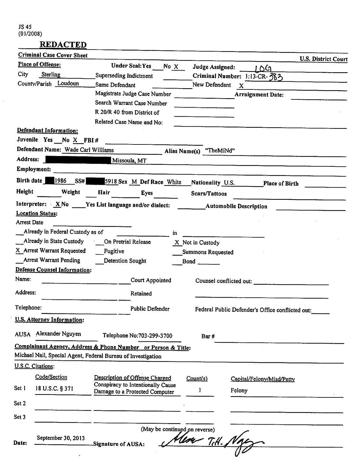$\bar{z}$ 

# **REDACTED**

 $\blacksquare$ 

|                    | Criminal Case Cover Sheet                        |                                                                     |                                          |                                                  | U.S. District Court |
|--------------------|--------------------------------------------------|---------------------------------------------------------------------|------------------------------------------|--------------------------------------------------|---------------------|
|                    | Place of Offense:                                | <b>Under Seal: Yes</b><br>No X                                      | Judge Assigned:                          | । ୦୯                                             |                     |
| City               | Sterling                                         | Superseding Indictment                                              |                                          | Criminal Number: 1:13-CR-383                     |                     |
|                    | County/Parish Loudoun                            | Same Defendant                                                      | New Defendant                            | $\mathbf{X}$                                     |                     |
|                    |                                                  | Magistrate Judge Case Number                                        | <u> 1990 - Jan Barat, martin a</u>       | <b>Arraignment Date:</b>                         |                     |
|                    |                                                  | Search Warrant Case Number                                          |                                          |                                                  |                     |
|                    |                                                  | R 20/R 40 from District of                                          |                                          |                                                  |                     |
|                    |                                                  | Related Case Name and No:                                           |                                          |                                                  |                     |
|                    | Defendant Information:<br>Juvenile Yes No X FBI# |                                                                     |                                          |                                                  |                     |
|                    | Defendant Name: Wade Carl Williams               |                                                                     |                                          |                                                  |                     |
| Address:           |                                                  | $\blacksquare$ Alias Name(s) "The Mind"                             |                                          |                                                  |                     |
|                    | Employment:                                      | Missoula, MT                                                        |                                          |                                                  |                     |
|                    | Birth date 1986<br><b>SS#</b>                    | 5918 Sex M Def Race White                                           | Nationality U.S.                         | Place of Birth                                   |                     |
| Height             | Weight                                           | Hair<br>Eyes                                                        | Scars/Tattoos                            |                                                  |                     |
|                    |                                                  | Interpreter: $XNo$ Wes List language and/or dialect:                | <b>Example 12 Automobile Description</b> |                                                  |                     |
|                    | <b>Location Status:</b>                          |                                                                     |                                          |                                                  |                     |
| <b>Arrest Date</b> |                                                  |                                                                     |                                          |                                                  |                     |
|                    | Already in Federal Custody as of                 | in.                                                                 |                                          |                                                  |                     |
|                    |                                                  | Already in State Custody _____ On Pretrial Release                  | X Not in Custody                         |                                                  |                     |
|                    | X Arrest Warrant Requested                       | Fugitive                                                            | Summons Requested                        |                                                  |                     |
|                    | Arrest Warrant Pending                           | <b>Detention Sought</b>                                             |                                          |                                                  |                     |
|                    | <b>Defense Counsel Information:</b>              |                                                                     |                                          |                                                  |                     |
| Name:              |                                                  | Court Appointed                                                     |                                          | Counsel conflicted out:                          |                     |
| Address:           |                                                  | Retained                                                            |                                          |                                                  |                     |
| Telephone:         |                                                  | Public Defender                                                     |                                          | Federal Public Defender's Office conflicted out: |                     |
|                    | U.S. Attorney Information:                       |                                                                     |                                          |                                                  |                     |
| <b>AUSA</b>        | Alexander Nguyen                                 | Telephone No:703-299-3700                                           | Bar#                                     |                                                  |                     |
|                    |                                                  | Complainant Agency, Address & Phone Number or Person & Title:       |                                          |                                                  |                     |
|                    |                                                  | Michael Nail, Special Agent, Federal Bureau of Investigation        |                                          |                                                  |                     |
|                    | U.S.C. Citations:                                |                                                                     |                                          |                                                  |                     |
|                    | Code/Section                                     | Description of Offense Charged                                      | Count(s)                                 | Capital/Felony/Misd/Petty                        |                     |
| Set 1              | 18 U.S.C. § 371                                  | Conspiracy to Intentionally Cause<br>Damage to a Protected Computer | 1                                        | Felony                                           |                     |
| Set 2              |                                                  |                                                                     |                                          |                                                  |                     |
| Set 3              |                                                  |                                                                     |                                          |                                                  |                     |
|                    |                                                  | (May be continued on reverse)                                       |                                          |                                                  |                     |
|                    | September 30, 2013                               |                                                                     |                                          |                                                  |                     |
| Date:              |                                                  | Signature of AUSA:                                                  | Alex T.H. Ng                             |                                                  |                     |
|                    |                                                  |                                                                     |                                          |                                                  |                     |